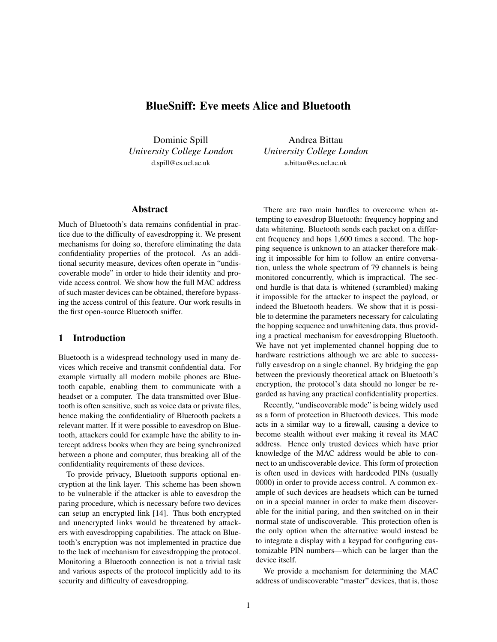# BlueSniff: Eve meets Alice and Bluetooth

Dominic Spill *University College London* d.spill@cs.ucl.ac.uk

Andrea Bittau *University College London* a.bittau@cs.ucl.ac.uk

# Abstract

Much of Bluetooth's data remains confidential in practice due to the difficulty of eavesdropping it. We present mechanisms for doing so, therefore eliminating the data confidentiality properties of the protocol. As an additional security measure, devices often operate in "undiscoverable mode" in order to hide their identity and provide access control. We show how the full MAC address of such master devices can be obtained, therefore bypassing the access control of this feature. Our work results in the first open-source Bluetooth sniffer.

### 1 Introduction

Bluetooth is a widespread technology used in many devices which receive and transmit confidential data. For example virtually all modern mobile phones are Bluetooth capable, enabling them to communicate with a headset or a computer. The data transmitted over Bluetooth is often sensitive, such as voice data or private files, hence making the confidentiality of Bluetooth packets a relevant matter. If it were possible to eavesdrop on Bluetooth, attackers could for example have the ability to intercept address books when they are being synchronized between a phone and computer, thus breaking all of the confidentiality requirements of these devices.

To provide privacy, Bluetooth supports optional encryption at the link layer. This scheme has been shown to be vulnerable if the attacker is able to eavesdrop the paring procedure, which is necessary before two devices can setup an encrypted link [14]. Thus both encrypted and unencrypted links would be threatened by attackers with eavesdropping capabilities. The attack on Bluetooth's encryption was not implemented in practice due to the lack of mechanism for eavesdropping the protocol. Monitoring a Bluetooth connection is not a trivial task and various aspects of the protocol implicitly add to its security and difficulty of eavesdropping.

There are two main hurdles to overcome when attempting to eavesdrop Bluetooth: frequency hopping and data whitening. Bluetooth sends each packet on a different frequency and hops 1,600 times a second. The hopping sequence is unknown to an attacker therefore making it impossible for him to follow an entire conversation, unless the whole spectrum of 79 channels is being monitored concurrently, which is impractical. The second hurdle is that data is whitened (scrambled) making it impossible for the attacker to inspect the payload, or indeed the Bluetooth headers. We show that it is possible to determine the parameters necessary for calculating the hopping sequence and unwhitening data, thus providing a practical mechanism for eavesdropping Bluetooth. We have not yet implemented channel hopping due to hardware restrictions although we are able to successfully eavesdrop on a single channel. By bridging the gap between the previously theoretical attack on Bluetooth's encryption, the protocol's data should no longer be regarded as having any practical confidentiality properties.

Recently, "undiscoverable mode" is being widely used as a form of protection in Bluetooth devices. This mode acts in a similar way to a firewall, causing a device to become stealth without ever making it reveal its MAC address. Hence only trusted devices which have prior knowledge of the MAC address would be able to connect to an undiscoverable device. This form of protection is often used in devices with hardcoded PINs (usually 0000) in order to provide access control. A common example of such devices are headsets which can be turned on in a special manner in order to make them discoverable for the initial paring, and then switched on in their normal state of undiscoverable. This protection often is the only option when the alternative would instead be to integrate a display with a keypad for configuring customizable PIN numbers—which can be larger than the device itself.

We provide a mechanism for determining the MAC address of undiscoverable "master" devices, that is, those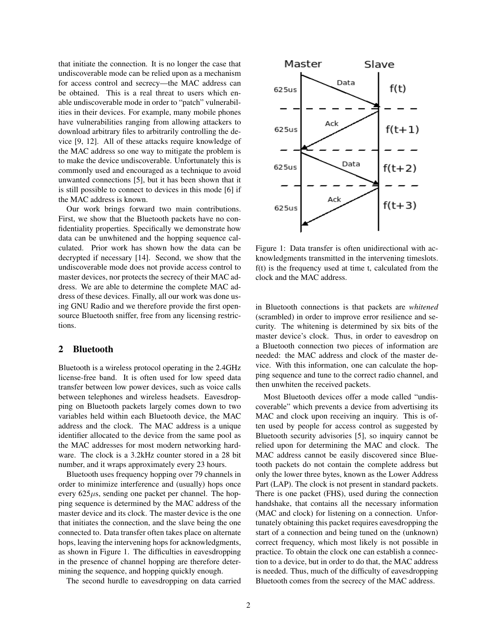that initiate the connection. It is no longer the case that undiscoverable mode can be relied upon as a mechanism for access control and secrecy—the MAC address can be obtained. This is a real threat to users which enable undiscoverable mode in order to "patch" vulnerabilities in their devices. For example, many mobile phones have vulnerabilities ranging from allowing attackers to download arbitrary files to arbitrarily controlling the device [9, 12]. All of these attacks require knowledge of the MAC address so one way to mitigate the problem is to make the device undiscoverable. Unfortunately this is commonly used and encouraged as a technique to avoid unwanted connections [5], but it has been shown that it is still possible to connect to devices in this mode [6] if the MAC address is known.

Our work brings forward two main contributions. First, we show that the Bluetooth packets have no confidentiality properties. Specifically we demonstrate how data can be unwhitened and the hopping sequence calculated. Prior work has shown how the data can be decrypted if necessary [14]. Second, we show that the undiscoverable mode does not provide access control to master devices, nor protects the secrecy of their MAC address. We are able to determine the complete MAC address of these devices. Finally, all our work was done using GNU Radio and we therefore provide the first opensource Bluetooth sniffer, free from any licensing restrictions.

#### 2 Bluetooth

Bluetooth is a wireless protocol operating in the 2.4GHz license-free band. It is often used for low speed data transfer between low power devices, such as voice calls between telephones and wireless headsets. Eavesdropping on Bluetooth packets largely comes down to two variables held within each Bluetooth device, the MAC address and the clock. The MAC address is a unique identifier allocated to the device from the same pool as the MAC addresses for most modern networking hardware. The clock is a 3.2kHz counter stored in a 28 bit number, and it wraps approximately every 23 hours.

Bluetooth uses frequency hopping over 79 channels in order to minimize interference and (usually) hops once every  $625\mu s$ , sending one packet per channel. The hopping sequence is determined by the MAC address of the master device and its clock. The master device is the one that initiates the connection, and the slave being the one connected to. Data transfer often takes place on alternate hops, leaving the intervening hops for acknowledgments, as shown in Figure 1. The difficulties in eavesdropping in the presence of channel hopping are therefore determining the sequence, and hopping quickly enough.

The second hurdle to eavesdropping on data carried



Figure 1: Data transfer is often unidirectional with acknowledgments transmitted in the intervening timeslots. f(t) is the frequency used at time t, calculated from the clock and the MAC address.

in Bluetooth connections is that packets are *whitened* (scrambled) in order to improve error resilience and security. The whitening is determined by six bits of the master device's clock. Thus, in order to eavesdrop on a Bluetooth connection two pieces of information are needed: the MAC address and clock of the master device. With this information, one can calculate the hopping sequence and tune to the correct radio channel, and then unwhiten the received packets.

Most Bluetooth devices offer a mode called "undiscoverable" which prevents a device from advertising its MAC and clock upon receiving an inquiry. This is often used by people for access control as suggested by Bluetooth security advisories [5], so inquiry cannot be relied upon for determining the MAC and clock. The MAC address cannot be easily discovered since Bluetooth packets do not contain the complete address but only the lower three bytes, known as the Lower Address Part (LAP). The clock is not present in standard packets. There is one packet (FHS), used during the connection handshake, that contains all the necessary information (MAC and clock) for listening on a connection. Unfortunately obtaining this packet requires eavesdropping the start of a connection and being tuned on the (unknown) correct frequency, which most likely is not possible in practice. To obtain the clock one can establish a connection to a device, but in order to do that, the MAC address is needed. Thus, much of the difficulty of eavesdropping Bluetooth comes from the secrecy of the MAC address.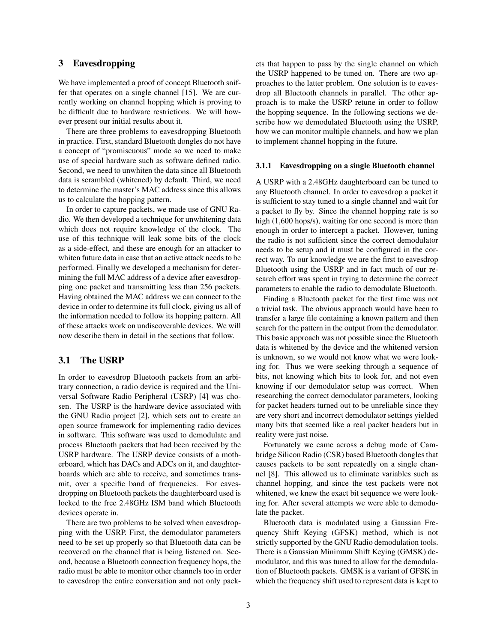# 3 Eavesdropping

We have implemented a proof of concept Bluetooth sniffer that operates on a single channel [15]. We are currently working on channel hopping which is proving to be difficult due to hardware restrictions. We will however present our initial results about it.

There are three problems to eavesdropping Bluetooth in practice. First, standard Bluetooth dongles do not have a concept of "promiscuous" mode so we need to make use of special hardware such as software defined radio. Second, we need to unwhiten the data since all Bluetooth data is scrambled (whitened) by default. Third, we need to determine the master's MAC address since this allows us to calculate the hopping pattern.

In order to capture packets, we made use of GNU Radio. We then developed a technique for unwhitening data which does not require knowledge of the clock. The use of this technique will leak some bits of the clock as a side-effect, and these are enough for an attacker to whiten future data in case that an active attack needs to be performed. Finally we developed a mechanism for determining the full MAC address of a device after eavesdropping one packet and transmitting less than 256 packets. Having obtained the MAC address we can connect to the device in order to determine its full clock, giving us all of the information needed to follow its hopping pattern. All of these attacks work on undiscoverable devices. We will now describe them in detail in the sections that follow.

# 3.1 The USRP

In order to eavesdrop Bluetooth packets from an arbitrary connection, a radio device is required and the Universal Software Radio Peripheral (USRP) [4] was chosen. The USRP is the hardware device associated with the GNU Radio project [2], which sets out to create an open source framework for implementing radio devices in software. This software was used to demodulate and process Bluetooth packets that had been received by the USRP hardware. The USRP device consists of a motherboard, which has DACs and ADCs on it, and daughterboards which are able to receive, and sometimes transmit, over a specific band of frequencies. For eavesdropping on Bluetooth packets the daughterboard used is locked to the free 2.48GHz ISM band which Bluetooth devices operate in.

There are two problems to be solved when eavesdropping with the USRP. First, the demodulator parameters need to be set up properly so that Bluetooth data can be recovered on the channel that is being listened on. Second, because a Bluetooth connection frequency hops, the radio must be able to monitor other channels too in order to eavesdrop the entire conversation and not only packets that happen to pass by the single channel on which the USRP happened to be tuned on. There are two approaches to the latter problem. One solution is to eavesdrop all Bluetooth channels in parallel. The other approach is to make the USRP retune in order to follow the hopping sequence. In the following sections we describe how we demodulated Bluetooth using the USRP, how we can monitor multiple channels, and how we plan to implement channel hopping in the future.

#### 3.1.1 Eavesdropping on a single Bluetooth channel

A USRP with a 2.48GHz daughterboard can be tuned to any Bluetooth channel. In order to eavesdrop a packet it is sufficient to stay tuned to a single channel and wait for a packet to fly by. Since the channel hopping rate is so high (1,600 hops/s), waiting for one second is more than enough in order to intercept a packet. However, tuning the radio is not sufficient since the correct demodulator needs to be setup and it must be configured in the correct way. To our knowledge we are the first to eavesdrop Bluetooth using the USRP and in fact much of our research effort was spent in trying to determine the correct parameters to enable the radio to demodulate Bluetooth.

Finding a Bluetooth packet for the first time was not a trivial task. The obvious approach would have been to transfer a large file containing a known pattern and then search for the pattern in the output from the demodulator. This basic approach was not possible since the Bluetooth data is whitened by the device and the whitened version is unknown, so we would not know what we were looking for. Thus we were seeking through a sequence of bits, not knowing which bits to look for, and not even knowing if our demodulator setup was correct. When researching the correct demodulator parameters, looking for packet headers turned out to be unreliable since they are very short and incorrect demodulator settings yielded many bits that seemed like a real packet headers but in reality were just noise.

Fortunately we came across a debug mode of Cambridge Silicon Radio (CSR) based Bluetooth dongles that causes packets to be sent repeatedly on a single channel [8]. This allowed us to eliminate variables such as channel hopping, and since the test packets were not whitened, we knew the exact bit sequence we were looking for. After several attempts we were able to demodulate the packet.

Bluetooth data is modulated using a Gaussian Frequency Shift Keying (GFSK) method, which is not strictly supported by the GNU Radio demodulation tools. There is a Gaussian Minimum Shift Keying (GMSK) demodulator, and this was tuned to allow for the demodulation of Bluetooth packets. GMSK is a variant of GFSK in which the frequency shift used to represent data is kept to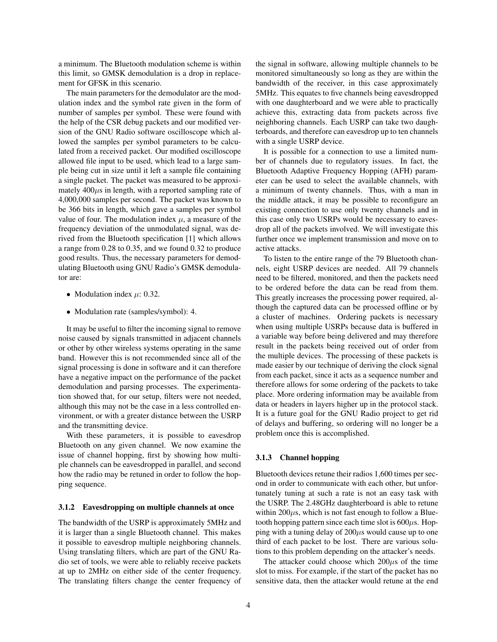a minimum. The Bluetooth modulation scheme is within this limit, so GMSK demodulation is a drop in replacement for GFSK in this scenario.

The main parameters for the demodulator are the modulation index and the symbol rate given in the form of number of samples per symbol. These were found with the help of the CSR debug packets and our modified version of the GNU Radio software oscilloscope which allowed the samples per symbol parameters to be calculated from a received packet. Our modified oscilloscope allowed file input to be used, which lead to a large sample being cut in size until it left a sample file containing a single packet. The packet was measured to be approximately  $400\mu s$  in length, with a reported sampling rate of 4,000,000 samples per second. The packet was known to be 366 bits in length, which gave a samples per symbol value of four. The modulation index  $\mu$ , a measure of the frequency deviation of the unmodulated signal, was derived from the Bluetooth specification [1] which allows a range from 0.28 to 0.35, and we found 0.32 to produce good results. Thus, the necessary parameters for demodulating Bluetooth using GNU Radio's GMSK demodulator are:

- Modulation index  $\mu$ : 0.32.
- Modulation rate (samples/symbol): 4.

It may be useful to filter the incoming signal to remove noise caused by signals transmitted in adjacent channels or other by other wireless systems operating in the same band. However this is not recommended since all of the signal processing is done in software and it can therefore have a negative impact on the performance of the packet demodulation and parsing processes. The experimentation showed that, for our setup, filters were not needed, although this may not be the case in a less controlled environment, or with a greater distance between the USRP and the transmitting device.

With these parameters, it is possible to eavesdrop Bluetooth on any given channel. We now examine the issue of channel hopping, first by showing how multiple channels can be eavesdropped in parallel, and second how the radio may be retuned in order to follow the hopping sequence.

#### 3.1.2 Eavesdropping on multiple channels at once

The bandwidth of the USRP is approximately 5MHz and it is larger than a single Bluetooth channel. This makes it possible to eavesdrop multiple neighboring channels. Using translating filters, which are part of the GNU Radio set of tools, we were able to reliably receive packets at up to 2MHz on either side of the center frequency. The translating filters change the center frequency of the signal in software, allowing multiple channels to be monitored simultaneously so long as they are within the bandwidth of the receiver, in this case approximately 5MHz. This equates to five channels being eavesdropped with one daughterboard and we were able to practically achieve this, extracting data from packets across five neighboring channels. Each USRP can take two daughterboards, and therefore can eavesdrop up to ten channels with a single USRP device.

It is possible for a connection to use a limited number of channels due to regulatory issues. In fact, the Bluetooth Adaptive Frequency Hopping (AFH) parameter can be used to select the available channels, with a minimum of twenty channels. Thus, with a man in the middle attack, it may be possible to reconfigure an existing connection to use only twenty channels and in this case only two USRPs would be necessary to eavesdrop all of the packets involved. We will investigate this further once we implement transmission and move on to active attacks.

To listen to the entire range of the 79 Bluetooth channels, eight USRP devices are needed. All 79 channels need to be filtered, monitored, and then the packets need to be ordered before the data can be read from them. This greatly increases the processing power required, although the captured data can be processed offline or by a cluster of machines. Ordering packets is necessary when using multiple USRPs because data is buffered in a variable way before being delivered and may therefore result in the packets being received out of order from the multiple devices. The processing of these packets is made easier by our technique of deriving the clock signal from each packet, since it acts as a sequence number and therefore allows for some ordering of the packets to take place. More ordering information may be available from data or headers in layers higher up in the protocol stack. It is a future goal for the GNU Radio project to get rid of delays and buffering, so ordering will no longer be a problem once this is accomplished.

#### 3.1.3 Channel hopping

Bluetooth devices retune their radios 1,600 times per second in order to communicate with each other, but unfortunately tuning at such a rate is not an easy task with the USRP. The 2.48GHz daughterboard is able to retune within  $200\mu s$ , which is not fast enough to follow a Bluetooth hopping pattern since each time slot is  $600\mu$ s. Hopping with a tuning delay of  $200\mu s$  would cause up to one third of each packet to be lost. There are various solutions to this problem depending on the attacker's needs.

The attacker could choose which  $200\mu s$  of the time slot to miss. For example, if the start of the packet has no sensitive data, then the attacker would retune at the end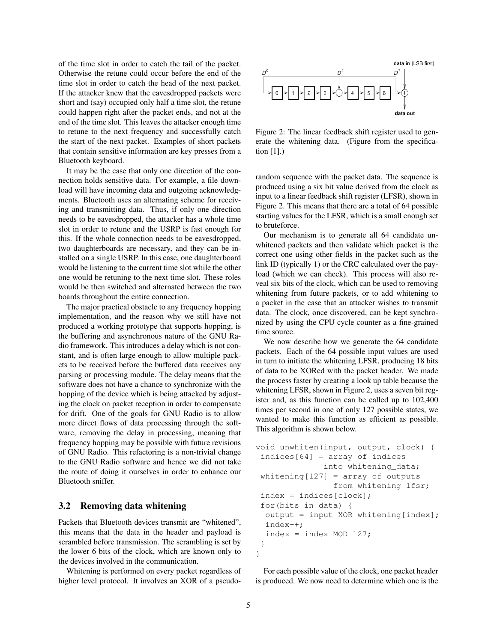of the time slot in order to catch the tail of the packet. Otherwise the retune could occur before the end of the time slot in order to catch the head of the next packet. If the attacker knew that the eavesdropped packets were short and (say) occupied only half a time slot, the retune could happen right after the packet ends, and not at the end of the time slot. This leaves the attacker enough time to retune to the next frequency and successfully catch the start of the next packet. Examples of short packets that contain sensitive information are key presses from a Bluetooth keyboard.

It may be the case that only one direction of the connection holds sensitive data. For example, a file download will have incoming data and outgoing acknowledgments. Bluetooth uses an alternating scheme for receiving and transmitting data. Thus, if only one direction needs to be eavesdropped, the attacker has a whole time slot in order to retune and the USRP is fast enough for this. If the whole connection needs to be eavesdropped, two daughterboards are necessary, and they can be installed on a single USRP. In this case, one daughterboard would be listening to the current time slot while the other one would be retuning to the next time slot. These roles would be then switched and alternated between the two boards throughout the entire connection.

The major practical obstacle to any frequency hopping implementation, and the reason why we still have not produced a working prototype that supports hopping, is the buffering and asynchronous nature of the GNU Radio framework. This introduces a delay which is not constant, and is often large enough to allow multiple packets to be received before the buffered data receives any parsing or processing module. The delay means that the software does not have a chance to synchronize with the hopping of the device which is being attacked by adjusting the clock on packet reception in order to compensate for drift. One of the goals for GNU Radio is to allow more direct flows of data processing through the software, removing the delay in processing, meaning that frequency hopping may be possible with future revisions of GNU Radio. This refactoring is a non-trivial change to the GNU Radio software and hence we did not take the route of doing it ourselves in order to enhance our Bluetooth sniffer.

### 3.2 Removing data whitening

Packets that Bluetooth devices transmit are "whitened", this means that the data in the header and payload is scrambled before transmission. The scrambling is set by the lower 6 bits of the clock, which are known only to the devices involved in the communication.

Whitening is performed on every packet regardless of higher level protocol. It involves an XOR of a pseudo-



Figure 2: The linear feedback shift register used to generate the whitening data. (Figure from the specification  $[1]$ .)

random sequence with the packet data. The sequence is produced using a six bit value derived from the clock as input to a linear feedback shift register (LFSR), shown in Figure 2. This means that there are a total of 64 possible starting values for the LFSR, which is a small enough set to bruteforce.

Our mechanism is to generate all 64 candidate unwhitened packets and then validate which packet is the correct one using other fields in the packet such as the link ID (typically 1) or the CRC calculated over the payload (which we can check). This process will also reveal six bits of the clock, which can be used to removing whitening from future packets, or to add whitening to a packet in the case that an attacker wishes to transmit data. The clock, once discovered, can be kept synchronized by using the CPU cycle counter as a fine-grained time source.

We now describe how we generate the 64 candidate packets. Each of the 64 possible input values are used in turn to initiate the whitening LFSR, producing 18 bits of data to be XORed with the packet header. We made the process faster by creating a look up table because the whitening LFSR, shown in Figure 2, uses a seven bit register and, as this function can be called up to 102,400 times per second in one of only 127 possible states, we wanted to make this function as efficient as possible. This algorithm is shown below.

```
void unwhiten(input, output, clock) {
 indices[64] = array of indices
              into whitening data;
 whitening[127] = array of outputs
                from whitening lfsr;
 index = indices[clock];
 for(bits in data) {
  output = input XOR whitening[index];
  index++;
  index = index MOD 127;}
}
```
For each possible value of the clock, one packet header is produced. We now need to determine which one is the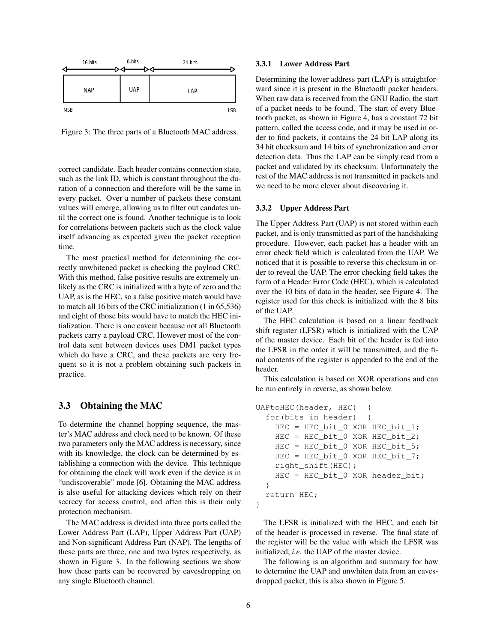

Figure 3: The three parts of a Bluetooth MAC address.

correct candidate. Each header contains connection state, such as the link ID, which is constant throughout the duration of a connection and therefore will be the same in every packet. Over a number of packets these constant values will emerge, allowing us to filter out candates until the correct one is found. Another technique is to look for correlations between packets such as the clock value itself advancing as expected given the packet reception time.

The most practical method for determining the correctly unwhitened packet is checking the payload CRC. With this method, false positive results are extremely unlikely as the CRC is initialized with a byte of zero and the UAP, as is the HEC, so a false positive match would have to match all 16 bits of the CRC initialization (1 in 65,536) and eight of those bits would have to match the HEC initialization. There is one caveat because not all Bluetooth packets carry a payload CRC. However most of the control data sent between devices uses DM1 packet types which do have a CRC, and these packets are very frequent so it is not a problem obtaining such packets in practice.

# 3.3 Obtaining the MAC

To determine the channel hopping sequence, the master's MAC address and clock need to be known. Of these two parameters only the MAC address is necessary, since with its knowledge, the clock can be determined by establishing a connection with the device. This technique for obtaining the clock will work even if the device is in "undiscoverable" mode [6]. Obtaining the MAC address is also useful for attacking devices which rely on their secrecy for access control, and often this is their only protection mechanism.

The MAC address is divided into three parts called the Lower Address Part (LAP), Upper Address Part (UAP) and Non-significant Address Part (NAP). The lengths of these parts are three, one and two bytes respectively, as shown in Figure 3. In the following sections we show how these parts can be recovered by eavesdropping on any single Bluetooth channel.

#### 3.3.1 Lower Address Part

Determining the lower address part (LAP) is straightforward since it is present in the Bluetooth packet headers. When raw data is received from the GNU Radio, the start of a packet needs to be found. The start of every Bluetooth packet, as shown in Figure 4, has a constant 72 bit pattern, called the access code, and it may be used in order to find packets, it contains the 24 bit LAP along its 34 bit checksum and 14 bits of synchronization and error detection data. Thus the LAP can be simply read from a packet and validated by its checksum. Unfortunately the rest of the MAC address is not transmitted in packets and we need to be more clever about discovering it.

#### 3.3.2 Upper Address Part

The Upper Address Part (UAP) is not stored within each packet, and is only transmitted as part of the handshaking procedure. However, each packet has a header with an error check field which is calculated from the UAP. We noticed that it is possible to reverse this checksum in order to reveal the UAP. The error checking field takes the form of a Header Error Code (HEC), which is calculated over the 10 bits of data in the header, see Figure 4. The register used for this check is initialized with the 8 bits of the UAP.

The HEC calculation is based on a linear feedback shift register (LFSR) which is initialized with the UAP of the master device. Each bit of the header is fed into the LFSR in the order it will be transmitted, and the final contents of the register is appended to the end of the header.

This calculation is based on XOR operations and can be run entirely in reverse, as shown below.

```
UAPtoHEC(header, HEC) {
  for(bits in header) {
    HEC = HEC_bit_0 XOR HEC_bit_1;
    HEC = HEC_bit_0 XOR HEC_bit_2;
    HEC = HEC_bit_0 XOR HEC_bit_5;
    HEC = HEC bit 0 XOR HEC bit 7;
    right_shift(HEC);
    HEC = HEC_bit_0 XOR header_bit;
  }
  return HEC;
}
```
The LFSR is initialized with the HEC, and each bit of the header is processed in reverse. The final state of the register will be the value with which the LFSR was initialized, *i.e.* the UAP of the master device.

The following is an algorithm and summary for how to determine the UAP and unwhiten data from an eavesdropped packet, this is also shown in Figure 5.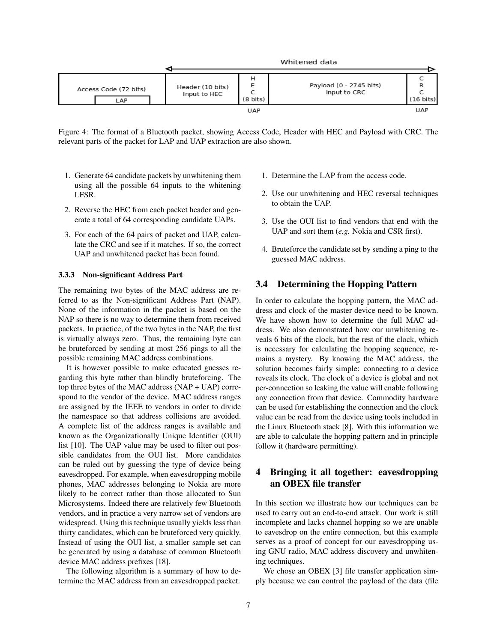

Figure 4: The format of a Bluetooth packet, showing Access Code, Header with HEC and Payload with CRC. The relevant parts of the packet for LAP and UAP extraction are also shown.

- 1. Generate 64 candidate packets by unwhitening them using all the possible 64 inputs to the whitening LFSR.
- 2. Reverse the HEC from each packet header and generate a total of 64 corresponding candidate UAPs.
- 3. For each of the 64 pairs of packet and UAP, calculate the CRC and see if it matches. If so, the correct UAP and unwhitened packet has been found.

#### 3.3.3 Non-significant Address Part

The remaining two bytes of the MAC address are referred to as the Non-significant Address Part (NAP). None of the information in the packet is based on the NAP so there is no way to determine them from received packets. In practice, of the two bytes in the NAP, the first is virtually always zero. Thus, the remaining byte can be bruteforced by sending at most 256 pings to all the possible remaining MAC address combinations.

It is however possible to make educated guesses regarding this byte rather than blindly bruteforcing. The top three bytes of the MAC address (NAP + UAP) correspond to the vendor of the device. MAC address ranges are assigned by the IEEE to vendors in order to divide the namespace so that address collisions are avoided. A complete list of the address ranges is available and known as the Organizationally Unique Identifier (OUI) list [10]. The UAP value may be used to filter out possible candidates from the OUI list. More candidates can be ruled out by guessing the type of device being eavesdropped. For example, when eavesdropping mobile phones, MAC addresses belonging to Nokia are more likely to be correct rather than those allocated to Sun Microsystems. Indeed there are relatively few Bluetooth vendors, and in practice a very narrow set of vendors are widespread. Using this technique usually yields less than thirty candidates, which can be bruteforced very quickly. Instead of using the OUI list, a smaller sample set can be generated by using a database of common Bluetooth device MAC address prefixes [18].

The following algorithm is a summary of how to determine the MAC address from an eavesdropped packet.

- 1. Determine the LAP from the access code.
- 2. Use our unwhitening and HEC reversal techniques to obtain the UAP.
- 3. Use the OUI list to find vendors that end with the UAP and sort them (*e.g.* Nokia and CSR first).
- 4. Bruteforce the candidate set by sending a ping to the guessed MAC address.

## 3.4 Determining the Hopping Pattern

In order to calculate the hopping pattern, the MAC address and clock of the master device need to be known. We have shown how to determine the full MAC address. We also demonstrated how our unwhitening reveals 6 bits of the clock, but the rest of the clock, which is necessary for calculating the hopping sequence, remains a mystery. By knowing the MAC address, the solution becomes fairly simple: connecting to a device reveals its clock. The clock of a device is global and not per-connection so leaking the value will enable following any connection from that device. Commodity hardware can be used for establishing the connection and the clock value can be read from the device using tools included in the Linux Bluetooth stack [8]. With this information we are able to calculate the hopping pattern and in principle follow it (hardware permitting).

# 4 Bringing it all together: eavesdropping an OBEX file transfer

In this section we illustrate how our techniques can be used to carry out an end-to-end attack. Our work is still incomplete and lacks channel hopping so we are unable to eavesdrop on the entire connection, but this example serves as a proof of concept for our eavesdropping using GNU radio, MAC address discovery and unwhitening techniques.

We chose an OBEX [3] file transfer application simply because we can control the payload of the data (file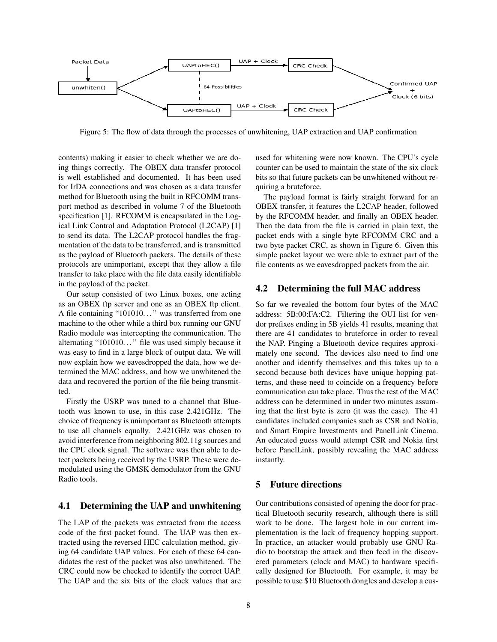

Figure 5: The flow of data through the processes of unwhitening, UAP extraction and UAP confirmation

contents) making it easier to check whether we are doing things correctly. The OBEX data transfer protocol is well established and documented. It has been used for IrDA connections and was chosen as a data transfer method for Bluetooth using the built in RFCOMM transport method as described in volume 7 of the Bluetooth specification [1]. RFCOMM is encapsulated in the Logical Link Control and Adaptation Protocol (L2CAP) [1] to send its data. The L2CAP protocol handles the fragmentation of the data to be transferred, and is transmitted as the payload of Bluetooth packets. The details of these protocols are unimportant, except that they allow a file transfer to take place with the file data easily identifiable in the payload of the packet.

Our setup consisted of two Linux boxes, one acting as an OBEX ftp server and one as an OBEX ftp client. A file containing "101010..." was transferred from one machine to the other while a third box running our GNU Radio module was intercepting the communication. The alternating "101010..." file was used simply because it was easy to find in a large block of output data. We will now explain how we eavesdropped the data, how we determined the MAC address, and how we unwhitened the data and recovered the portion of the file being transmitted.

Firstly the USRP was tuned to a channel that Bluetooth was known to use, in this case 2.421GHz. The choice of frequency is unimportant as Bluetooth attempts to use all channels equally. 2.421GHz was chosen to avoid interference from neighboring 802.11g sources and the CPU clock signal. The software was then able to detect packets being received by the USRP. These were demodulated using the GMSK demodulator from the GNU Radio tools.

# 4.1 Determining the UAP and unwhitening

The LAP of the packets was extracted from the access code of the first packet found. The UAP was then extracted using the reversed HEC calculation method, giving 64 candidate UAP values. For each of these 64 candidates the rest of the packet was also unwhitened. The CRC could now be checked to identify the correct UAP. The UAP and the six bits of the clock values that are used for whitening were now known. The CPU's cycle counter can be used to maintain the state of the six clock bits so that future packets can be unwhitened without requiring a bruteforce.

The payload format is fairly straight forward for an OBEX transfer, it features the L2CAP header, followed by the RFCOMM header, and finally an OBEX header. Then the data from the file is carried in plain text, the packet ends with a single byte RFCOMM CRC and a two byte packet CRC, as shown in Figure 6. Given this simple packet layout we were able to extract part of the file contents as we eavesdropped packets from the air.

# 4.2 Determining the full MAC address

So far we revealed the bottom four bytes of the MAC address: 5B:00:FA:C2. Filtering the OUI list for vendor prefixes ending in 5B yields 41 results, meaning that there are 41 candidates to bruteforce in order to reveal the NAP. Pinging a Bluetooth device requires approximately one second. The devices also need to find one another and identify themselves and this takes up to a second because both devices have unique hopping patterns, and these need to coincide on a frequency before communication can take place. Thus the rest of the MAC address can be determined in under two minutes assuming that the first byte is zero (it was the case). The 41 candidates included companies such as CSR and Nokia, and Smart Empire Investments and PanelLink Cinema. An educated guess would attempt CSR and Nokia first before PanelLink, possibly revealing the MAC address instantly.

# 5 Future directions

Our contributions consisted of opening the door for practical Bluetooth security research, although there is still work to be done. The largest hole in our current implementation is the lack of frequency hopping support. In practice, an attacker would probably use GNU Radio to bootstrap the attack and then feed in the discovered parameters (clock and MAC) to hardware specifically designed for Bluetooth. For example, it may be possible to use \$10 Bluetooth dongles and develop a cus-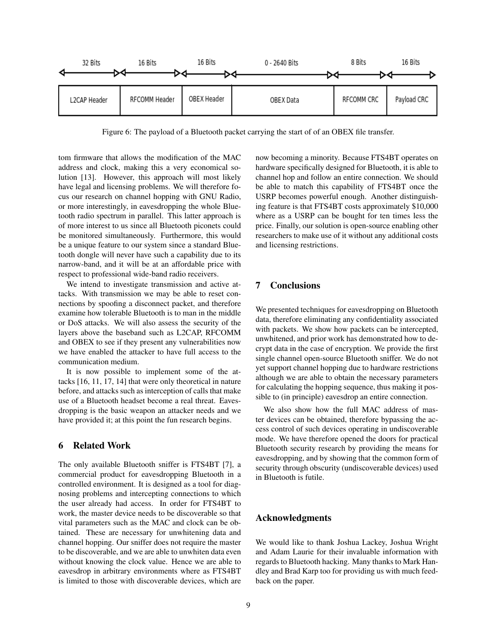

Figure 6: The payload of a Bluetooth packet carrying the start of of an OBEX file transfer.

tom firmware that allows the modification of the MAC address and clock, making this a very economical solution [13]. However, this approach will most likely have legal and licensing problems. We will therefore focus our research on channel hopping with GNU Radio, or more interestingly, in eavesdropping the whole Bluetooth radio spectrum in parallel. This latter approach is of more interest to us since all Bluetooth piconets could be monitored simultaneously. Furthermore, this would be a unique feature to our system since a standard Bluetooth dongle will never have such a capability due to its narrow-band, and it will be at an affordable price with respect to professional wide-band radio receivers.

We intend to investigate transmission and active attacks. With transmission we may be able to reset connections by spoofing a disconnect packet, and therefore examine how tolerable Bluetooth is to man in the middle or DoS attacks. We will also assess the security of the layers above the baseband such as L2CAP, RFCOMM and OBEX to see if they present any vulnerabilities now we have enabled the attacker to have full access to the communication medium.

It is now possible to implement some of the attacks [16, 11, 17, 14] that were only theoretical in nature before, and attacks such as interception of calls that make use of a Bluetooth headset become a real threat. Eavesdropping is the basic weapon an attacker needs and we have provided it; at this point the fun research begins.

# 6 Related Work

The only available Bluetooth sniffer is FTS4BT [7], a commercial product for eavesdropping Bluetooth in a controlled environment. It is designed as a tool for diagnosing problems and intercepting connections to which the user already had access. In order for FTS4BT to work, the master device needs to be discoverable so that vital parameters such as the MAC and clock can be obtained. These are necessary for unwhitening data and channel hopping. Our sniffer does not require the master to be discoverable, and we are able to unwhiten data even without knowing the clock value. Hence we are able to eavesdrop in arbitrary environments where as FTS4BT is limited to those with discoverable devices, which are now becoming a minority. Because FTS4BT operates on hardware specifically designed for Bluetooth, it is able to channel hop and follow an entire connection. We should be able to match this capability of FTS4BT once the USRP becomes powerful enough. Another distinguishing feature is that FTS4BT costs approximately \$10,000 where as a USRP can be bought for ten times less the price. Finally, our solution is open-source enabling other researchers to make use of it without any additional costs and licensing restrictions.

# 7 Conclusions

We presented techniques for eavesdropping on Bluetooth data, therefore eliminating any confidentiality associated with packets. We show how packets can be intercepted, unwhitened, and prior work has demonstrated how to decrypt data in the case of encryption. We provide the first single channel open-source Bluetooth sniffer. We do not yet support channel hopping due to hardware restrictions although we are able to obtain the necessary parameters for calculating the hopping sequence, thus making it possible to (in principle) eavesdrop an entire connection.

We also show how the full MAC address of master devices can be obtained, therefore bypassing the access control of such devices operating in undiscoverable mode. We have therefore opened the doors for practical Bluetooth security research by providing the means for eavesdropping, and by showing that the common form of security through obscurity (undiscoverable devices) used in Bluetooth is futile.

# Acknowledgments

We would like to thank Joshua Lackey, Joshua Wright and Adam Laurie for their invaluable information with regards to Bluetooth hacking. Many thanks to Mark Handley and Brad Karp too for providing us with much feedback on the paper.